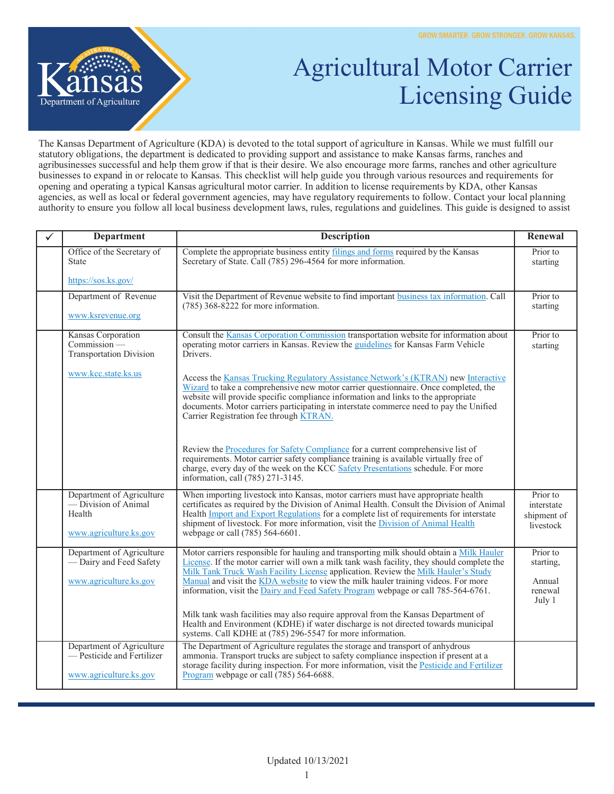

## Agricultural Motor Carrier Licensing Guide

The Kansas Department of Agriculture (KDA) is devoted to the total support of agriculture in Kansas. While we must fulfill our statutory obligations, the department is dedicated to providing support and assistance to make Kansas farms, ranches and agribusinesses successful and help them grow if that is their desire. We also encourage more farms, ranches and other agriculture businesses to expand in or relocate to Kansas. This checklist will help guide you through various resources and requirements for opening and operating a typical Kansas agricultural motor carrier. In addition to license requirements by KDA, other Kansas agencies, as well as local or federal government agencies, may have regulatory requirements to follow. Contact your local planning authority to ensure you follow all local business development laws, rules, regulations and guidelines. This guide is designed to assist

| <b>Department</b>                                                                     | <b>Description</b>                                                                                                                                                                                                                                                                                                                                                                                                                                      | Renewal                                              |
|---------------------------------------------------------------------------------------|---------------------------------------------------------------------------------------------------------------------------------------------------------------------------------------------------------------------------------------------------------------------------------------------------------------------------------------------------------------------------------------------------------------------------------------------------------|------------------------------------------------------|
| Office of the Secretary of<br><b>State</b>                                            | Complete the appropriate business entity filings and forms required by the Kansas<br>Secretary of State. Call (785) 296-4564 for more information.                                                                                                                                                                                                                                                                                                      | Prior to<br>starting                                 |
| https://sos.ks.gov/                                                                   |                                                                                                                                                                                                                                                                                                                                                                                                                                                         |                                                      |
| Department of Revenue                                                                 | Visit the Department of Revenue website to find important business tax information. Call<br>$(785)$ 368-8222 for more information.                                                                                                                                                                                                                                                                                                                      | Prior to<br>starting                                 |
| www.ksrevenue.org                                                                     |                                                                                                                                                                                                                                                                                                                                                                                                                                                         |                                                      |
| Kansas Corporation<br>$Commission_{-}$<br><b>Transportation Division</b>              | Consult the Kansas Corporation Commission transportation website for information about<br>operating motor carriers in Kansas. Review the guidelines for Kansas Farm Vehicle<br>Drivers.                                                                                                                                                                                                                                                                 | Prior to<br>starting                                 |
| www.kcc.state.ks.us                                                                   | Access the Kansas Trucking Regulatory Assistance Network's (KTRAN) new Interactive<br>Wizard to take a comprehensive new motor carrier questionnaire. Once completed, the<br>website will provide specific compliance information and links to the appropriate<br>documents. Motor carriers participating in interstate commerce need to pay the Unified<br>Carrier Registration fee through KTRAN.                                                     |                                                      |
|                                                                                       | Review the <b>Procedures</b> for Safety Compliance for a current comprehensive list of<br>requirements. Motor carrier safety compliance training is available virtually free of<br>charge, every day of the week on the KCC Safety Presentations schedule. For more<br>information, call (785) 271-3145.                                                                                                                                                |                                                      |
| Department of Agriculture<br>— Division of Animal<br>Health<br>www.agriculture.ks.gov | When importing livestock into Kansas, motor carriers must have appropriate health<br>certificates as required by the Division of Animal Health. Consult the Division of Animal<br>Health <i>Import and Export Regulations</i> for a complete list of requirements for interstate<br>shipment of livestock. For more information, visit the Division of Animal Health<br>webpage or call (785) 564-6601.                                                 | Prior to<br>interstate<br>shipment of<br>livestock   |
| Department of Agriculture<br>-Dairy and Feed Safety<br>www.agriculture.ks.gov         | Motor carriers responsible for hauling and transporting milk should obtain a Milk Hauler<br>License. If the motor carrier will own a milk tank wash facility, they should complete the<br>Milk Tank Truck Wash Facility License application. Review the Milk Hauler's Study<br>Manual and visit the KDA website to view the milk hauler training videos. For more<br>information, visit the Dairy and Feed Safety Program webpage or call 785-564-6761. | Prior to<br>starting,<br>Annual<br>renewal<br>July 1 |
|                                                                                       | Milk tank wash facilities may also require approval from the Kansas Department of<br>Health and Environment (KDHE) if water discharge is not directed towards municipal<br>systems. Call KDHE at (785) 296-5547 for more information.                                                                                                                                                                                                                   |                                                      |
| Department of Agriculture<br>— Pesticide and Fertilizer<br>www.agriculture.ks.gov     | The Department of Agriculture regulates the storage and transport of anhydrous<br>ammonia. Transport trucks are subject to safety compliance inspection if present at a<br>storage facility during inspection. For more information, visit the Pesticide and Fertilizer<br>Program webpage or call (785) 564-6688.                                                                                                                                      |                                                      |